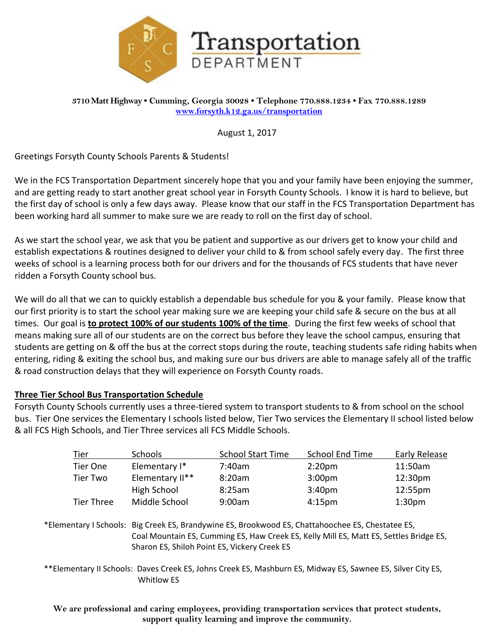

August 1, 2017

Greetings Forsyth County Schools Parents & Students!

We in the FCS Transportation Department sincerely hope that you and your family have been enjoying the summer, and are getting ready to start another great school year in Forsyth County Schools. I know it is hard to believe, but the first day of school is only a few days away. Please know that our staff in the FCS Transportation Department has been working hard all summer to make sure we are ready to roll on the first day of school.

As we start the school year, we ask that you be patient and supportive as our drivers get to know your child and establish expectations & routines designed to deliver your child to & from school safely every day. The first three weeks of school is a learning process both for our drivers and for the thousands of FCS students that have never ridden a Forsyth County school bus.

We will do all that we can to quickly establish a dependable bus schedule for you & your family. Please know that our first priority is to start the school year making sure we are keeping your child safe & secure on the bus at all times. Our goal is **to protect 100% of our students 100% of the time**. During the first few weeks of school that means making sure all of our students are on the correct bus before they leave the school campus, ensuring that students are getting on & off the bus at the correct stops during the route, teaching students safe riding habits when entering, riding & exiting the school bus, and making sure our bus drivers are able to manage safely all of the traffic & road construction delays that they will experience on Forsyth County roads.

## **Three Tier School Bus Transportation Schedule**

Whitlow ES

Forsyth County Schools currently uses a three-tiered system to transport students to & from school on the school bus. Tier One services the Elementary I schools listed below, Tier Two services the Elementary II school listed below & all FCS High Schools, and Tier Three services all FCS Middle Schools.

|                                                                                                             | Tier       | Schools                                                                                                                                                                                                                                     | <b>School Start Time</b> | <b>School End Time</b> | Early Release       |  |
|-------------------------------------------------------------------------------------------------------------|------------|---------------------------------------------------------------------------------------------------------------------------------------------------------------------------------------------------------------------------------------------|--------------------------|------------------------|---------------------|--|
|                                                                                                             | Tier One   | Elementary I*                                                                                                                                                                                                                               | 7:40am                   | 2:20 <sub>pm</sub>     | 11:50am             |  |
|                                                                                                             | Tier Two   | Elementary II**                                                                                                                                                                                                                             | 8:20am                   | 3:00 <sub>pm</sub>     | 12:30 <sub>pm</sub> |  |
|                                                                                                             |            | High School                                                                                                                                                                                                                                 | 8:25am                   | 3:40 <sub>pm</sub>     | 12:55pm             |  |
|                                                                                                             | Tier Three | Middle School                                                                                                                                                                                                                               | 9:00am                   | 4:15 <sub>pm</sub>     | 1:30 <sub>pm</sub>  |  |
|                                                                                                             |            | *Elementary I Schools: Big Creek ES, Brandywine ES, Brookwood ES, Chattahoochee ES, Chestatee ES,<br>Coal Mountain ES, Cumming ES, Haw Creek ES, Kelly Mill ES, Matt ES, Settles Bridge ES,<br>Sharon ES, Shiloh Point ES, Vickery Creek ES |                          |                        |                     |  |
| **Elementary II Schools: Daves Creek ES, Johns Creek ES, Mashburn ES, Midway ES, Sawnee ES, Silver City ES, |            |                                                                                                                                                                                                                                             |                          |                        |                     |  |

**We are professional and caring employees, providing transportation services that protect students, support quality learning and improve the community.**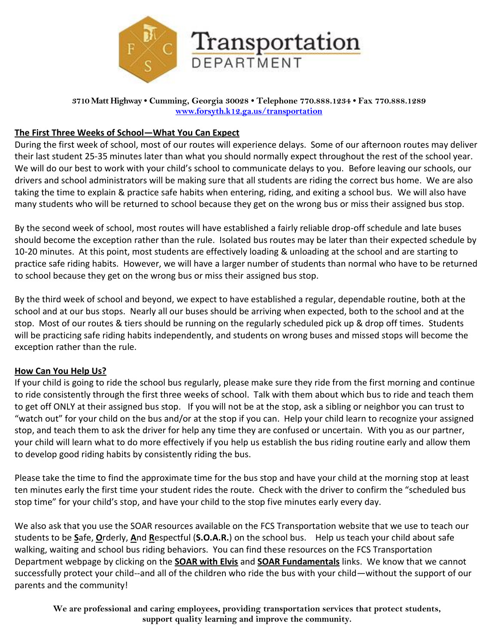

## **The First Three Weeks of School—What You Can Expect**

During the first week of school, most of our routes will experience delays. Some of our afternoon routes may deliver their last student 25-35 minutes later than what you should normally expect throughout the rest of the school year. We will do our best to work with your child's school to communicate delays to you. Before leaving our schools, our drivers and school administrators will be making sure that all students are riding the correct bus home. We are also taking the time to explain & practice safe habits when entering, riding, and exiting a school bus. We will also have many students who will be returned to school because they get on the wrong bus or miss their assigned bus stop.

By the second week of school, most routes will have established a fairly reliable drop-off schedule and late buses should become the exception rather than the rule. Isolated bus routes may be later than their expected schedule by 10-20 minutes. At this point, most students are effectively loading & unloading at the school and are starting to practice safe riding habits. However, we will have a larger number of students than normal who have to be returned to school because they get on the wrong bus or miss their assigned bus stop.

By the third week of school and beyond, we expect to have established a regular, dependable routine, both at the school and at our bus stops. Nearly all our buses should be arriving when expected, both to the school and at the stop. Most of our routes & tiers should be running on the regularly scheduled pick up & drop off times. Students will be practicing safe riding habits independently, and students on wrong buses and missed stops will become the exception rather than the rule.

## **How Can You Help Us?**

If your child is going to ride the school bus regularly, please make sure they ride from the first morning and continue to ride consistently through the first three weeks of school. Talk with them about which bus to ride and teach them to get off ONLY at their assigned bus stop. If you will not be at the stop, ask a sibling or neighbor you can trust to "watch out" for your child on the bus and/or at the stop if you can. Help your child learn to recognize your assigned stop, and teach them to ask the driver for help any time they are confused or uncertain. With you as our partner, your child will learn what to do more effectively if you help us establish the bus riding routine early and allow them to develop good riding habits by consistently riding the bus.

Please take the time to find the approximate time for the bus stop and have your child at the morning stop at least ten minutes early the first time your student rides the route. Check with the driver to confirm the "scheduled bus stop time" for your child's stop, and have your child to the stop five minutes early every day.

We also ask that you use the SOAR resources available on the FCS Transportation website that we use to teach our students to be **S**afe, **O**rderly, **A**nd **R**espectful (**S.O.A.R.**) on the school bus. Help us teach your child about safe walking, waiting and school bus riding behaviors. You can find these resources on the FCS Transportation Department webpage by clicking on the **SOAR with Elvis** and **SOAR Fundamentals** links. We know that we cannot successfully protect your child--and all of the children who ride the bus with your child—without the support of our parents and the community!

**We are professional and caring employees, providing transportation services that protect students, support quality learning and improve the community.**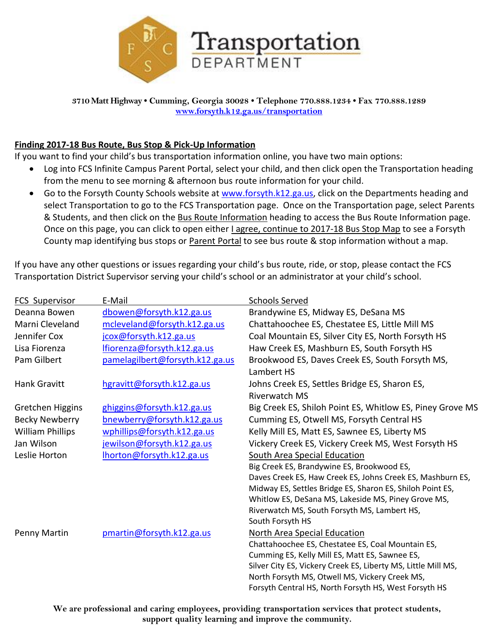

## **Finding 2017-18 Bus Route, Bus Stop & Pick-Up Information**

If you want to find your child's bus transportation information online, you have two main options:

- Log into FCS Infinite Campus Parent Portal, select your child, and then click open the Transportation heading from the menu to see morning & afternoon bus route information for your child.
- Go to the Forsyth County Schools website at [www.forsyth.k12.ga.us,](http://www.forsyth.k12.ga.us/) click on the Departments heading and select Transportation to go to the FCS Transportation page. Once on the Transportation page, select Parents & Students, and then click on the Bus Route Information heading to access the Bus Route Information page. Once on this page, you can click to open either I agree, continue to 2017-18 Bus Stop Map to see a Forsyth County map identifying bus stops or Parent Portal to see bus route & stop information without a map.

If you have any other questions or issues regarding your child's bus route, ride, or stop, please contact the FCS Transportation District Supervisor serving your child's school or an administrator at your child's school.

| <b>FCS Supervisor</b>   | E-Mail                          | <b>Schools Served</b>                                                 |
|-------------------------|---------------------------------|-----------------------------------------------------------------------|
| Deanna Bowen            | dbowen@forsyth.k12.ga.us        | Brandywine ES, Midway ES, DeSana MS                                   |
| Marni Cleveland         | mcleveland@forsyth.k12.ga.us    | Chattahoochee ES, Chestatee ES, Little Mill MS                        |
| Jennifer Cox            | jcox@forsyth.k12.ga.us          | Coal Mountain ES, Silver City ES, North Forsyth HS                    |
| Lisa Fiorenza           | lfiorenza@forsyth.k12.ga.us     | Haw Creek ES, Mashburn ES, South Forsyth HS                           |
| Pam Gilbert             | pamelagilbert@forsyth.k12.ga.us | Brookwood ES, Daves Creek ES, South Forsyth MS,<br>Lambert HS         |
| Hank Gravitt            | hgravitt@forsyth.k12.ga.us      | Johns Creek ES, Settles Bridge ES, Sharon ES,<br><b>Riverwatch MS</b> |
| Gretchen Higgins        | ghiggins@forsyth.k12.ga.us      | Big Creek ES, Shiloh Point ES, Whitlow ES, Piney Grove MS             |
| <b>Becky Newberry</b>   | bnewberry@forsyth.k12.ga.us     | Cumming ES, Otwell MS, Forsyth Central HS                             |
| <b>William Phillips</b> | wphillips@forsyth.k12.ga.us     | Kelly Mill ES, Matt ES, Sawnee ES, Liberty MS                         |
| Jan Wilson              | jewilson@forsyth.k12.ga.us      | Vickery Creek ES, Vickery Creek MS, West Forsyth HS                   |
| Leslie Horton           | Ihorton@forsyth.k12.ga.us       | South Area Special Education                                          |
|                         |                                 | Big Creek ES, Brandywine ES, Brookwood ES,                            |
|                         |                                 | Daves Creek ES, Haw Creek ES, Johns Creek ES, Mashburn ES,            |
|                         |                                 | Midway ES, Settles Bridge ES, Sharon ES, Shiloh Point ES,             |
|                         |                                 | Whitlow ES, DeSana MS, Lakeside MS, Piney Grove MS,                   |
|                         |                                 | Riverwatch MS, South Forsyth MS, Lambert HS,                          |
|                         |                                 | South Forsyth HS                                                      |
| Penny Martin            | pmartin@forsyth.k12.ga.us       | North Area Special Education                                          |
|                         |                                 | Chattahoochee ES, Chestatee ES, Coal Mountain ES,                     |
|                         |                                 | Cumming ES, Kelly Mill ES, Matt ES, Sawnee ES,                        |
|                         |                                 | Silver City ES, Vickery Creek ES, Liberty MS, Little Mill MS,         |
|                         |                                 | North Forsyth MS, Otwell MS, Vickery Creek MS,                        |
|                         |                                 | Forsyth Central HS, North Forsyth HS, West Forsyth HS                 |

**We are professional and caring employees, providing transportation services that protect students, support quality learning and improve the community.**